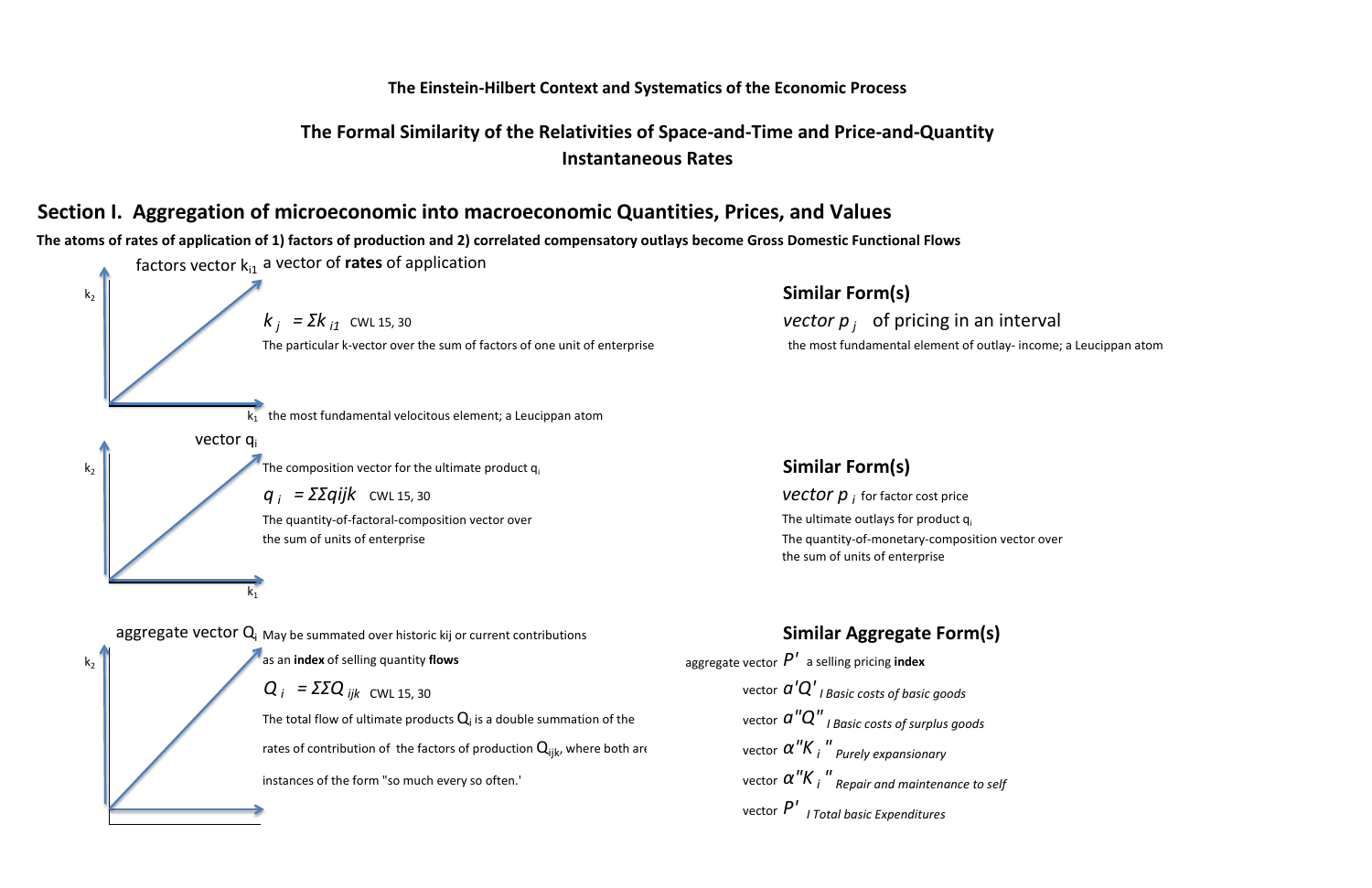## **Section I. Aggregation of microeconomic into macroeconomic Quantities, Prices, and Values**

**The atoms of rates of application of 1) factors of production and 2) correlated compensatory outlays become Gross Domestic Functional Flows** factors vector  $k_{i1}$  a vector of **rates** of application k2 **Similar Form(s)**  $k_i = \sum k_{i1}$  cwl 15, 30 *vector p j* of pricing in an interval The particular k-vector over the sum of factors of one unit of enterprise the most fundamental element of outlay- income; a Leucippan atom  $k_1$  the most fundamental velocitous element; a Leucippan atom vector qi  $k_2$  The composition vector for the ultimate product  $q_i$  **Similar Form(s)**  $q_i = \sum q_i$  **i**  $k$  cwL 15, 30 *vector p i* for factor cost price The quantity-of-factoral-composition vector over  $\mathbf{I}$  and  $\mathbf{I}$  are  $\mathbf{I}$  and  $\mathbf{I}$  are  $\mathbf{I}$  and  $\mathbf{I}$  are  $\mathbf{I}$  and  $\mathbf{I}$  are  $\mathbf{I}$  and  $\mathbf{I}$  are  $\mathbf{I}$  and  $\mathbf{I}$  are  $\mathbf{I}$  and  $\math$ the sum of units of enterprise the sum of units of enterprise  $\blacksquare$ the sum of units of enterprise  $k<sub>1</sub>$ aggregate vector Q<sub>i</sub> May be summated over historic kij or current contributions **Similar Aggregate Form(s)**  $k_2$  as an **index** of selling quantity **flows** and the sum of setter *P'* a selling pricing **index**  $Q_i = \Sigma ZQ_{ijk}$  *CWL* 15, 30 *vector a'* $Q'_{IBasic\ costs\ of\ basic\ goods}$ The total flow of ultimate products  $Q_i$  is a double summation of the vector  $a''Q''$  *I Basic costs of surplus goods* rates of contribution of the factors of production Q<sub>iik</sub>, where both are *" Purely expansionary* instances of the form "so much every so often.' *" Repair and maintenance to self* vector *P' I Total basic Expenditures*

## **The Einstein-Hilbert Context and Systematics of the Economic Process**

## **Instantaneous Rates The Formal Similarity of the Relativities of Space-and-Time and Price-and-Quantity**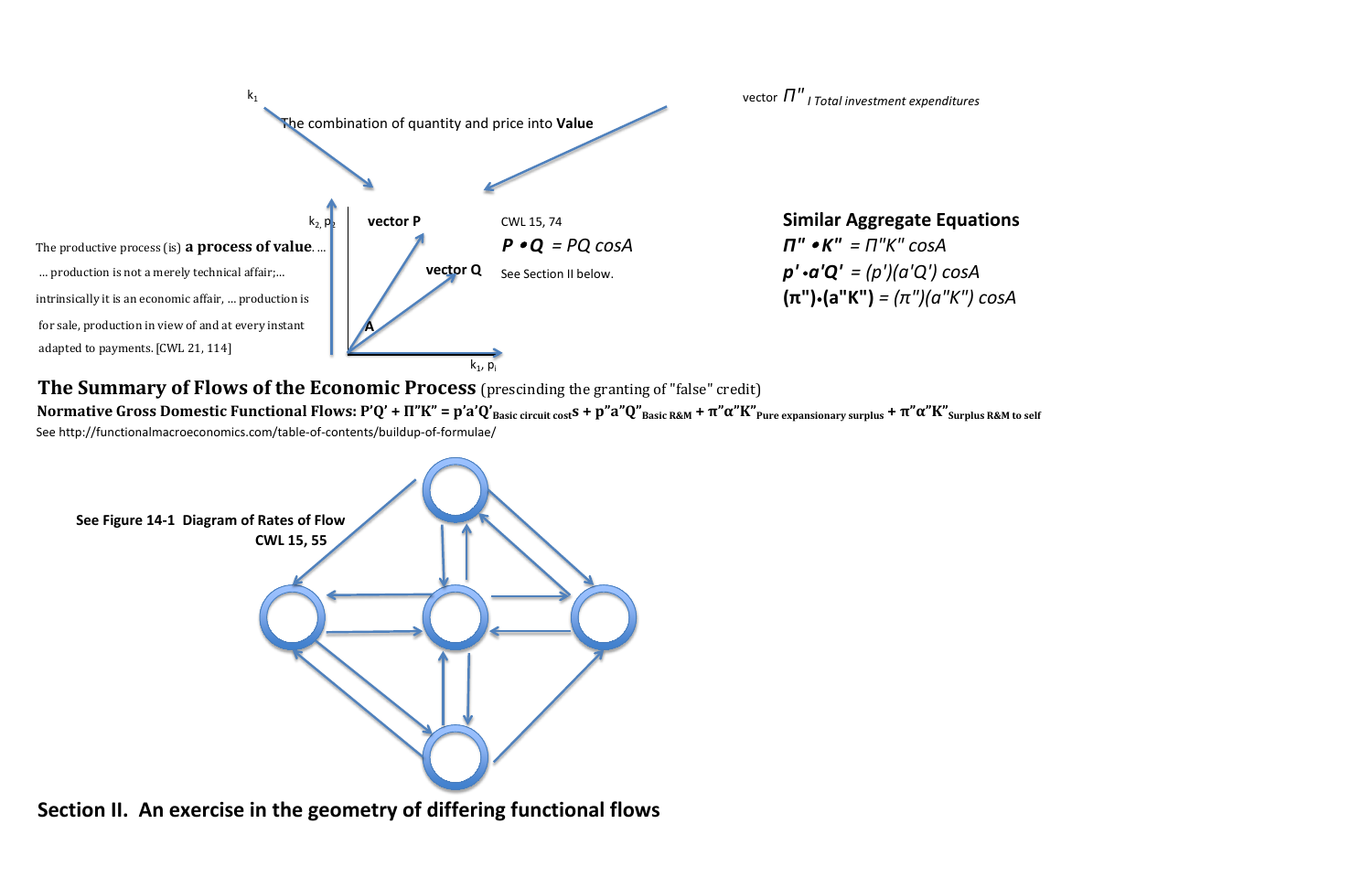

**Normative Gross Domestic Functional Flows: P'Q' + Π"Κ" = p'a'Q'Basic circuit costs + p"a"Q"Basic R&M + π"α"Κ"Pure expansionary surplus + π"α"Κ"Surplus R&M to self**  See http://functionalmacroeconomics.com/table-of-contents/buildup-of-formulae/



**Section II. An exercise in the geometry of differing functional flows**

**The Summary of Flows of the Economic Process** (prescinding the granting of "false" credit)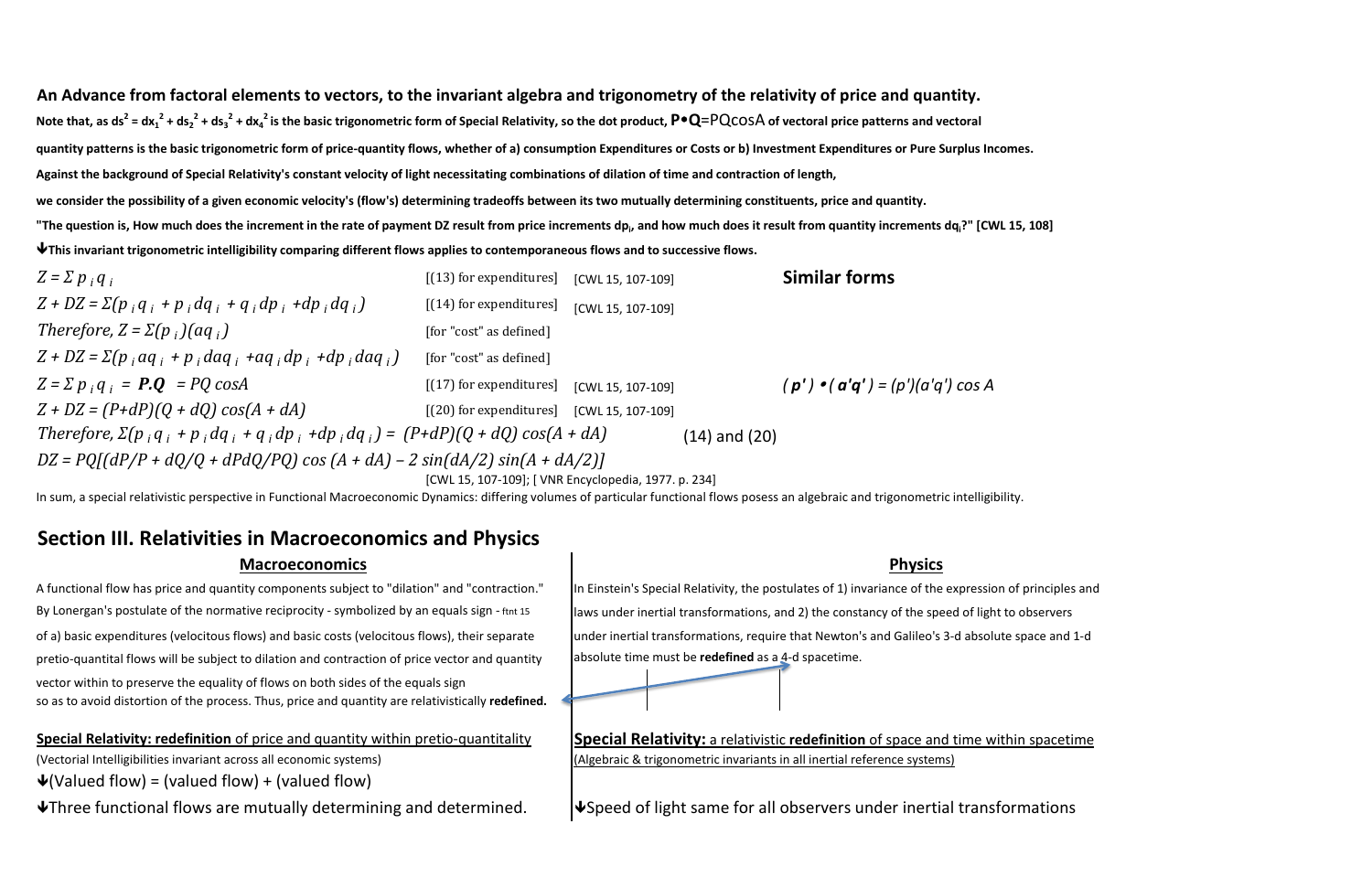# **An Advance from factoral elements to vectors, to the invariant algebra and trigonometry of the relativity of price and quantity.** Note that, as ds<sup>2</sup> = dx<sub>1</sub><sup>2</sup> + ds<sub>2</sub><sup>2</sup> + ds<sub>3</sub><sup>2</sup> + dx<sub>4</sub><sup>2</sup> is the basic trigonometric form of Special Relativity, so the dot product, P•Q=<code>PQcOSA</code> of vectoral price patterns and vectoral **quantity patterns is the basic trigonometric form of price-quantity flows, whether of a) consumption Expenditures or Costs or b) Investment Expenditures or Pure Surplus Incomes. Against the background of Special Relativity's constant velocity of light necessitating combinations of dilation of time and contraction of length, we consider the possibility of a given economic velocity's (flow's) determining tradeoffs between its two mutually determining constituents, price and quantity.** "The question is, How much does the increment in the rate of payment DZ result from price increments dp<sub>i</sub>, and how much does it result from quantity increments dq<sub>i</sub>?" [CWL 15, 108] **This invariant trigonometric intelligibility comparing different flows applies to contemporaneous flows and to successive flows.**

A functional flow has price and quantity components subject to "dilation" and "contraction." | In Einstein's Special Relativity, the postulates of 1) invariance of the expression of principles and of a) basic expenditures (velocitous flows) and basic costs (velocitous flows), their separate under inertial transformations, require that Newton's and Galileo's 3-d absolute space and 1-d



By Lonergan's postulate of the normative reciprocity - symbolized by an equals sign - ftnt 15 ||aws under inertial transformations, and 2) the constancy of the speed of light to observers pretio-quantital flows will be subject to dilation and contraction of price vector and quantity absolute time must be **redefined** as a 4-d spacetime. vector within to preserve the equality of flows on both sides of the equals sign so as to avoid distortion of the process. Thus, price and quantity are relativistically **redefined.**

 $\mathbf{\Psi}$ (Valued flow) = (valued flow) + (valued flow)

| $Z = \sum p_i q_i$                                                                      | $[(13)$ for expenditures] | [CWL 15, 107-109] |                   | <b>Similar forms</b>                    |
|-----------------------------------------------------------------------------------------|---------------------------|-------------------|-------------------|-----------------------------------------|
| $Z + DZ = \sum (p_i q_i + p_i dq_i + q_i dp_i + dp_i dq_i)$                             | $(14)$ for expenditures]  | [CWL 15, 107-109] |                   |                                         |
| Therefore, $Z = \Sigma(p_i)(aq_i)$                                                      | [for "cost" as defined]   |                   |                   |                                         |
| $Z + DZ = \Sigma(p_i aq_i + p_i daq_i + aq_i dp_i + dp_i daq_i)$                        | [for "cost" as defined]   |                   |                   |                                         |
| $Z = \sum p_i q_i = P.Q = PQ \cos A$                                                    | $[(17)$ for expenditures] | [CWL 15, 107-109] |                   | $(p') \cdot (a'q') = (p')(a'q') \cos A$ |
| $Z + DZ = (P + dP)(Q + dQ) cos(A + dA)$                                                 | $[(20)$ for expenditures] | [CWL 15, 107-109] |                   |                                         |
| Therefore, $\Sigma(p_i q_i + p_i dq_i + q_i dp_i + dp_i dq_i) = (P+dP)(Q+dQ) cos(A+dA)$ |                           |                   | $(14)$ and $(20)$ |                                         |
| $DZ = PQ[(dP/P + dQ/Q + dPdQ/PQ) \cos(A + dA) - 2 \sin(dA/2) \sin(A + dA/2)]$           |                           |                   |                   |                                         |
| [CWL 15, 107-109]; [ VNR Encyclopedia, 1977. p. 234]                                    |                           |                   |                   |                                         |

In sum, a special relativistic perspective in Functional Macroeconomic Dynamics: differing volumes of particular functional flows posess an algebraic and trigonometric intelligibility.

**Special Relativity: redefinition** of price and quantity within pretio-quantitality **Special Relativity:** a relativistic **redefinition** of space and time within spacetime (Vectorial Intelligibilities invariant across all economic systems) (Algebraic & trigonometric invariants in all inertial reference systems)

 $\blacklozenge$ Three functional flows are mutually determining and determined.  $\blacktriangleright$ Speed of light same for all observers under inertial transformations

## **Physics**

# **Section III. Relativities in Macroeconomics and Physics**

## **Macroeconomics**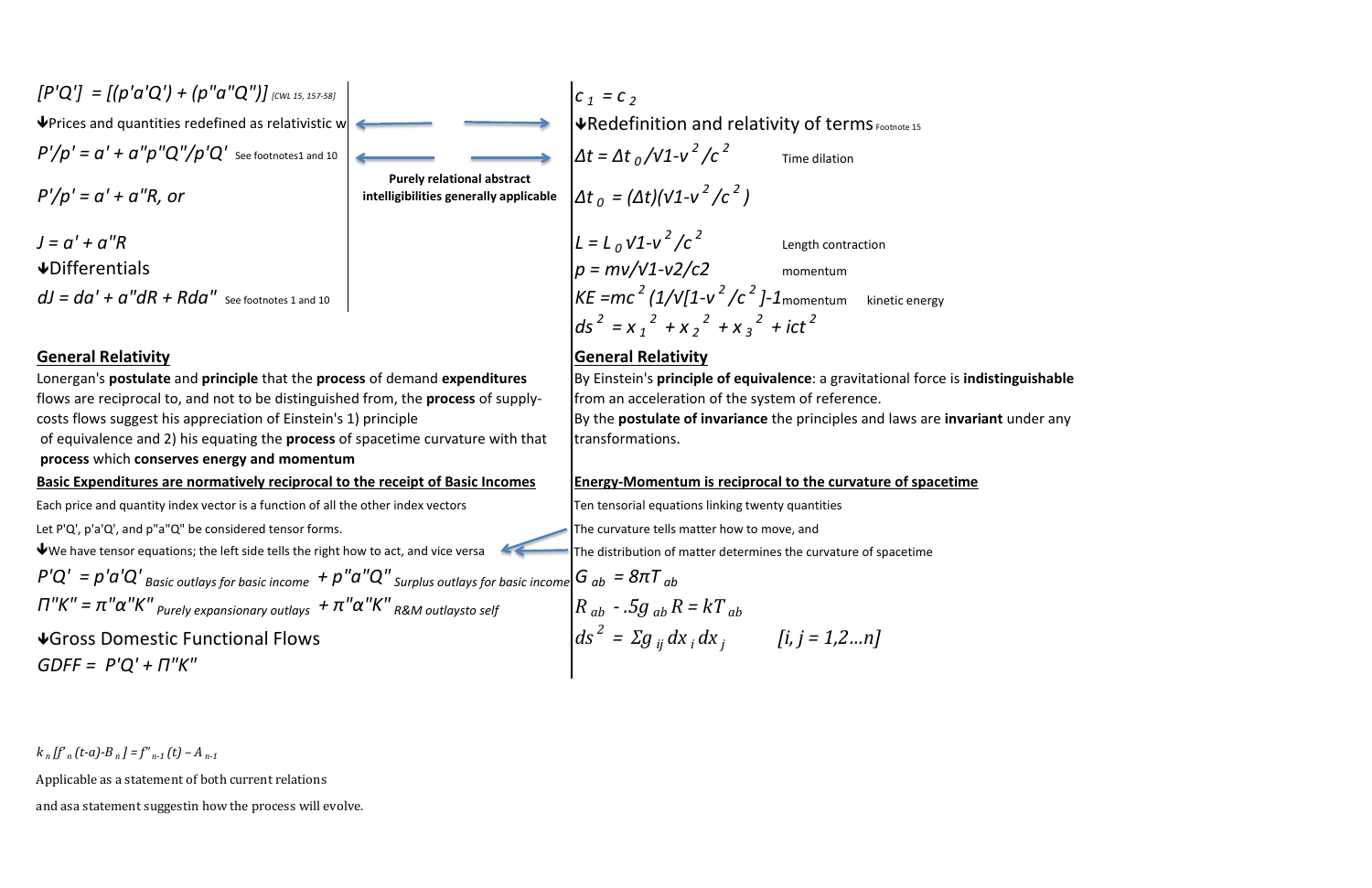Time dilation  $\Delta t_0 = (\Delta t)(v1-v^2/c^2)$  $\sqrt{u}$ Redefinition and relativity of terms Footnote 15

 $J = a' + a''R$  Length contraction  $dJ = da' + a''dR + Rda''$  See footnotes 1 and 10  $\left| KE = mc^2 (1/V[1-v^2/c^2]-1$ momentum kinetic energy  $ds^{2} = x_{1}^{2} + x_{2}^{2} + x_{3}^{2} + ict^{2}$ 

## **General Relativity General Relativity**

### **Basic Expenditures are normatively reciprocal to the receipt of Basic Incomes Energy-Momentum is reciprocal to the curvature of spacetime**

Each price and quantity index vector is a function of all the other index vectors Ten tensorial equations linking twenty quantities

Let P'Q', p'a'Q', and p"a"Q" be considered tensor forms. The curvature tells matter how to move, and



The distribution of matter determines the curvature of spacetime

Differentials momentum *p = mv/√1-v2/c2*

$$
P'Q' = p'a'Q'
$$
<sub>Basic outlays for basic income</sub> + p''a''Q''<sub>surplus outlays for basic income</sub>  $G_{ab} = 8\pi T_{ab}$   
 $\Pi''K'' = \pi''\alpha''K''_{purely expansionary outlays} + \pi''\alpha''K''_{R\&M outlaysto self}$   $R_{ab} - .5g_{ab}R = kT_{ab}$ 

Gross Domestic Functional Flows *GDFF = P'Q' + Π"Κ"*

 $k_n$   $\left[ \int_a^b r_n(t-a) - B_n \right] = \int_a^b r_{n-1}(t) - A_{n-1}$ 

Applicable as a statement of both current relations

and asa statement suggestin how the process will evolve.

$$
\begin{cases}\nG_{ab} = 8\pi T_{ab} \\
R_{ab} - .5g_{ab}R = kT_{ab} \\
ds^2 = \Sigma g_{ij} dx_i dx_j \qquad [i, j = 1, 2...n]\n\end{cases}
$$

**Purely relational abstract intelligibilities generally applicable**

 of equivalence and 2) his equating the **process** of spacetime curvature with that flows are reciprocal to, and not to be distinguished from, the **process** of supplycosts flows suggest his appreciation of Einstein's 1) principle **process** which **conserves energy and momentum** Lonergan's **postulate** and **principle** that the **process** of demand **expenditures** 

We have tensor equations; the left side tells the right how to act, and vice versa

transformations. By the **postulate of invariance** the principles and laws are **invariant** under any

By Einstein's **principle of equivalence**: a gravitational force is **indistinguishable**  from an acceleration of the system of reference.